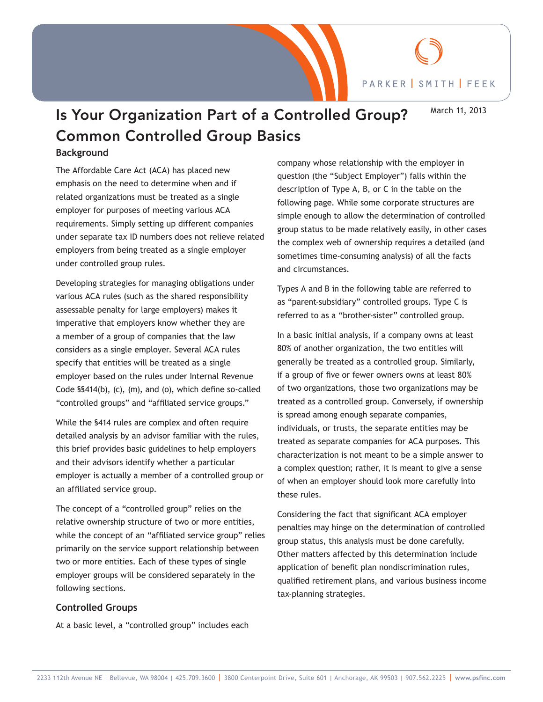



# Is Your Organization Part of a Controlled Group? Common Controlled Group Basics

**Background**

The Affordable Care Act (ACA) has placed new emphasis on the need to determine when and if related organizations must be treated as a single employer for purposes of meeting various ACA requirements. Simply setting up different companies under separate tax ID numbers does not relieve related employers from being treated as a single employer under controlled group rules.

Developing strategies for managing obligations under various ACA rules (such as the shared responsibility assessable penalty for large employers) makes it imperative that employers know whether they are a member of a group of companies that the law considers as a single employer. Several ACA rules specify that entities will be treated as a single employer based on the rules under Internal Revenue Code §§414(b), (c), (m), and (o), which define so-called "controlled groups" and "affiliated service groups."

While the §414 rules are complex and often require detailed analysis by an advisor familiar with the rules, this brief provides basic guidelines to help employers and their advisors identify whether a particular employer is actually a member of a controlled group or an affiliated service group.

The concept of a "controlled group" relies on the relative ownership structure of two or more entities, while the concept of an "affiliated service group" relies primarily on the service support relationship between two or more entities. Each of these types of single employer groups will be considered separately in the following sections.

## company whose relationship with the employer in question (the "Subject Employer") falls within the description of Type A, B, or C in the table on the following page. While some corporate structures are simple enough to allow the determination of controlled group status to be made relatively easily, in other cases the complex web of ownership requires a detailed (and sometimes time-consuming analysis) of all the facts and circumstances.

Types A and B in the following table are referred to as "parent-subsidiary" controlled groups. Type C is referred to as a "brother-sister" controlled group.

In a basic initial analysis, if a company owns at least 80% of another organization, the two entities will generally be treated as a controlled group. Similarly, if a group of five or fewer owners owns at least 80% of two organizations, those two organizations may be treated as a controlled group. Conversely, if ownership is spread among enough separate companies, individuals, or trusts, the separate entities may be treated as separate companies for ACA purposes. This characterization is not meant to be a simple answer to a complex question; rather, it is meant to give a sense of when an employer should look more carefully into these rules.

Considering the fact that significant ACA employer penalties may hinge on the determination of controlled group status, this analysis must be done carefully. Other matters affected by this determination include application of benefit plan nondiscrimination rules, qualified retirement plans, and various business income tax-planning strategies.

### **Controlled Groups**

At a basic level, a "controlled group" includes each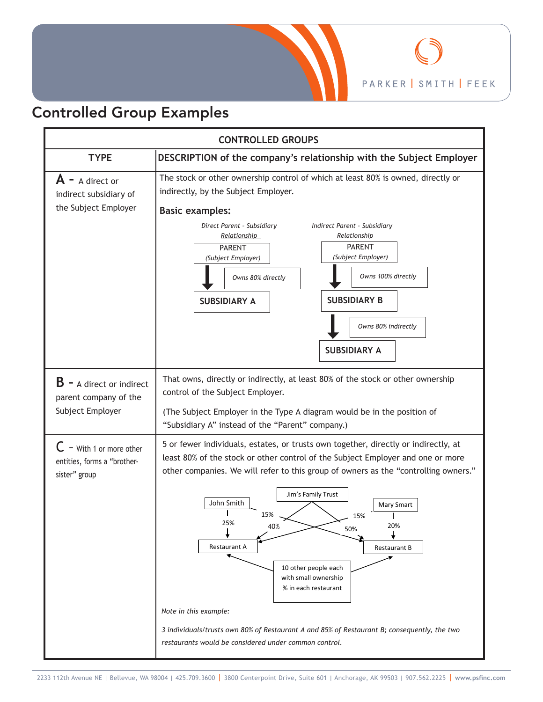

# Controlled Group Examples

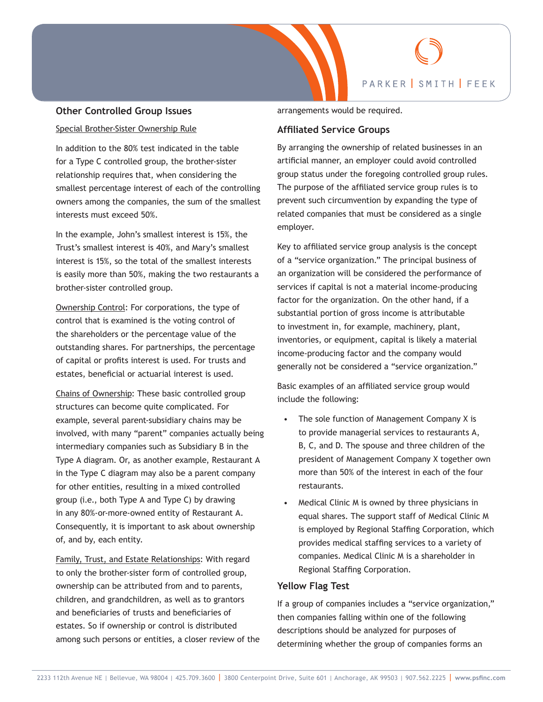

### **Other Controlled Group Issues**

#### Special Brother-Sister Ownership Rule

In addition to the 80% test indicated in the table for a Type C controlled group, the brother-sister relationship requires that, when considering the smallest percentage interest of each of the controlling owners among the companies, the sum of the smallest interests must exceed 50%.

In the example, John's smallest interest is 15%, the Trust's smallest interest is 40%, and Mary's smallest interest is 15%, so the total of the smallest interests is easily more than 50%, making the two restaurants a brother-sister controlled group.

Ownership Control: For corporations, the type of control that is examined is the voting control of the shareholders or the percentage value of the outstanding shares. For partnerships, the percentage of capital or profits interest is used. For trusts and estates, beneficial or actuarial interest is used.

Chains of Ownership: These basic controlled group structures can become quite complicated. For example, several parent-subsidiary chains may be involved, with many "parent" companies actually being intermediary companies such as Subsidiary B in the Type A diagram. Or, as another example, Restaurant A in the Type C diagram may also be a parent company for other entities, resulting in a mixed controlled group (i.e., both Type A and Type C) by drawing in any 80%-or-more-owned entity of Restaurant A. Consequently, it is important to ask about ownership of, and by, each entity.

Family, Trust, and Estate Relationships: With regard to only the brother-sister form of controlled group, ownership can be attributed from and to parents, children, and grandchildren, as well as to grantors and beneficiaries of trusts and beneficiaries of estates. So if ownership or control is distributed among such persons or entities, a closer review of the arrangements would be required.

### **Affiliated Service Groups**

By arranging the ownership of related businesses in an artificial manner, an employer could avoid controlled group status under the foregoing controlled group rules. The purpose of the affiliated service group rules is to prevent such circumvention by expanding the type of related companies that must be considered as a single employer.

Key to affiliated service group analysis is the concept of a "service organization." The principal business of an organization will be considered the performance of services if capital is not a material income-producing factor for the organization. On the other hand, if a substantial portion of gross income is attributable to investment in, for example, machinery, plant, inventories, or equipment, capital is likely a material income-producing factor and the company would generally not be considered a "service organization."

Basic examples of an affiliated service group would include the following:

- The sole function of Management Company X is to provide managerial services to restaurants A, B, C, and D. The spouse and three children of the president of Management Company X together own more than 50% of the interest in each of the four restaurants.
- Medical Clinic M is owned by three physicians in equal shares. The support staff of Medical Clinic M is employed by Regional Staffing Corporation, which provides medical staffing services to a variety of companies. Medical Clinic M is a shareholder in Regional Staffing Corporation.

#### **Yellow Flag Test**

If a group of companies includes a "service organization," then companies falling within one of the following descriptions should be analyzed for purposes of determining whether the group of companies forms an